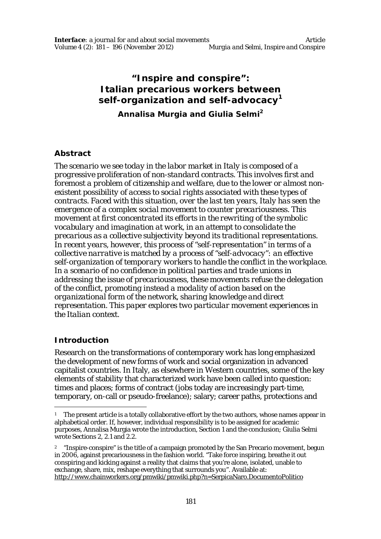# **"Inspire and conspire": Italian precarious workers between self-organization and self-advocacy<sup>1</sup>**

**Annalisa Murgia and Giulia Selmi<sup>2</sup>**

### **Abstract**

*The scenario we see today in the labor market in Italy is composed of a progressive proliferation of non-standard contracts. This involves first and foremost a problem of citizenship and welfare, due to the lower or almost nonexistent possibility of access to social rights associated with these types of contracts. Faced with this situation, over the last ten years, Italy has seen the emergence of a complex social movement to counter precariousness. This movement at first concentrated its efforts in the rewriting of the symbolic vocabulary and imagination at work, in an attempt to consolidate the precarious as a collective subjectivity beyond its traditional representations. In recent years, however, this process of "self-representation" in terms of a collective narrative is matched by a process of "self-advocacy": an effective self-organization of temporary workers to handle the conflict in the workplace. In a scenario of no confidence in political parties and trade unions in addressing the issue of precariousness, these movements refuse the delegation of the conflict, promoting instead a modality of action based on the organizational form of the network, sharing knowledge and direct representation. This paper explores two particular movement experiences in the Italian context.*

# **Introduction**

 $\overline{a}$ 

Research on the transformations of contemporary work has long emphasized the development of new forms of work and social organization in advanced capitalist countries. In Italy, as elsewhere in Western countries, some of the key elements of stability that characterized work have been called into question: times and places; forms of contract (jobs today are increasingly part-time, temporary, on-call or pseudo-freelance); salary; career paths, protections and

<sup>1</sup> The present article is a totally collaborative effort by the two authors, whose names appear in alphabetical order. If, however, individual responsibility is to be assigned for academic purposes, Annalisa Murgia wrote the introduction, Section 1 and the conclusion; Giulia Selmi wrote Sections 2, 2.1 and 2.2.

<sup>&</sup>lt;sup>2</sup> "Inspire-conspire" is the title of a campaign promoted by the San Precario movement, begun in 2006, against precariousness in the fashion world. "Take force inspiring, breathe it out conspiring and kicking against a reality that claims that you're alone, isolated, unable to exchange, share, mix, reshape everything that surrounds you". Available at: http://www.chainworkers.org/pmwiki/pmwiki.php?n=SerpicaNaro.DocumentoPolitico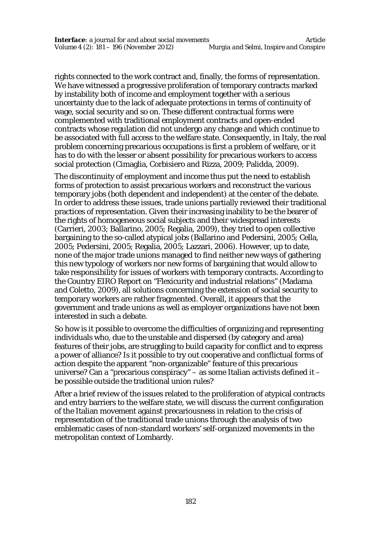rights connected to the work contract and, finally, the forms of representation. We have witnessed a progressive proliferation of temporary contracts marked by instability both of income and employment together with a serious uncertainty due to the lack of adequate protections in terms of continuity of wage, social security and so on. These different contractual forms were complemented with traditional employment contracts and open-ended contracts whose regulation did not undergo any change and which continue to be associated with full access to the welfare state. Consequently, in Italy, the real problem concerning precarious occupations is first a problem of welfare, or it has to do with the lesser or absent possibility for precarious workers to access social protection (Cimaglia, Corbisiero and Rizza, 2009; Palidda, 2009).

The discontinuity of employment and income thus put the need to establish forms of protection to assist precarious workers and reconstruct the various temporary jobs (both dependent and independent) at the center of the debate. In order to address these issues, trade unions partially reviewed their traditional practices of representation. Given their increasing inability to be the bearer of the rights of homogeneous social subjects and their widespread interests (Carrieri, 2003; Ballarino, 2005; Regalia, 2009), they tried to open collective bargaining to the so-called atypical jobs (Ballarino and Pedersini, 2005; Cella, 2005; Pedersini, 2005; Regalia, 2005; Lazzari, 2006). However, up to date, none of the major trade unions managed to find neither new ways of gathering this new typology of workers nor new forms of bargaining that would allow to take responsibility for issues of workers with temporary contracts. According to the Country EIRO Report on "Flexicurity and industrial relations" (Madama and Coletto, 2009), all solutions concerning the extension of social security to temporary workers are rather fragmented. Overall, it appears that the government and trade unions as well as employer organizations have not been interested in such a debate.

So how is it possible to overcome the difficulties of organizing and representing individuals who, due to the unstable and dispersed (by category and area) features of their jobs, are struggling to build capacity for conflict and to express a power of alliance? Is it possible to try out cooperative and conflictual forms of action despite the apparent "non-organizable" feature of this precarious universe? Can a "precarious conspiracy" – as some Italian activists defined it – be possible outside the traditional union rules?

After a brief review of the issues related to the proliferation of atypical contracts and entry barriers to the welfare state, we will discuss the current configuration of the Italian movement against precariousness in relation to the crisis of representation of the traditional trade unions through the analysis of two emblematic cases of non-standard workers' self-organized movements in the metropolitan context of Lombardy.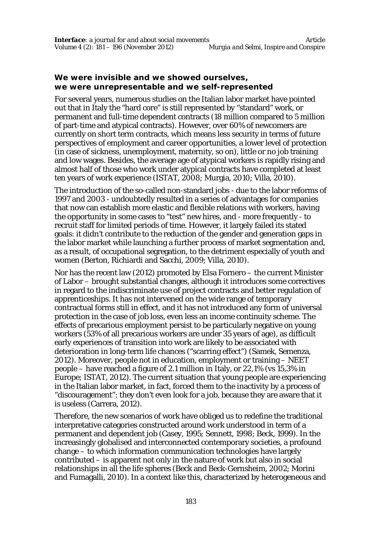# **We were invisible and we showed ourselves, we were unrepresentable and we self-represented**

For several years, numerous studies on the Italian labor market have pointed out that in Italy the "hard core" is still represented by "standard" work, or permanent and full-time dependent contracts (18 million compared to 5 million of part-time and atypical contracts). However, over 60% of newcomers are currently on short term contracts, which means less security in terms of future perspectives of employment and career opportunities, a lower level of protection (in case of sickness, unemployment, maternity, so on), little or no job training and low wages. Besides, the average age of atypical workers is rapidly rising and almost half of those who work under atypical contracts have completed at least ten years of work experience (ISTAT, 2008; Murgia, 2010; Villa, 2010).

The introduction of the so-called non-standard jobs - due to the labor reforms of 1997 and 2003 - undoubtedly resulted in a series of advantages for companies that now can establish more elastic and flexible relations with workers, having the opportunity in some cases to "test" new hires, and - more frequently - to recruit staff for limited periods of time. However, it largely failed its stated goals: it didn't contribute to the reduction of the gender and generation gaps in the labor market while launching a further process of market segmentation and, as a result, of occupational segregation, to the detriment especially of youth and women (Berton, Richiardi and Sacchi, 2009; Villa, 2010).

Nor has the recent law (2012) promoted by Elsa Fornero – the current Minister of Labor – brought substantial changes, although it introduces some correctives in regard to the indiscriminate use of project contracts and better regulation of apprenticeships. It has not intervened on the wide range of temporary contractual forms still in effect, and it has not introduced any form of universal protection in the case of job loss, even less an income continuity scheme. The effects of precarious employment persist to be particularly negative on young workers (53% of all precarious workers are under 35 years of age), as difficult early experiences of transition into work are likely to be associated with deterioration in long-term life chances ("scarring effect") (Samek, Semenza, 2012). Moreover, people not in education, employment or training – NEET people – have reached a figure of 2.1 million in Italy, or 22,1% (vs 15,3% in Europe; ISTAT, 2012). The current situation that young people are experiencing in the Italian labor market, in fact, forced them to the inactivity by a process of "discouragement": they don't even look for a job, because they are aware that it is useless (Carrera, 2012).

Therefore, the new scenarios of work have obliged us to redefine the traditional interpretative categories constructed around work understood in term of a permanent and dependent job (Casey, 1995; Sennett, 1998; Beck, 1999). In the increasingly globalised and interconnected contemporary societies, a profound change – to which information communication technologies have largely contributed – is apparent not only in the nature of work but also in social relationships in all the life spheres (Beck and Beck-Gernsheim, 2002; Morini and Fumagalli, 2010). In a context like this, characterized by heterogeneous and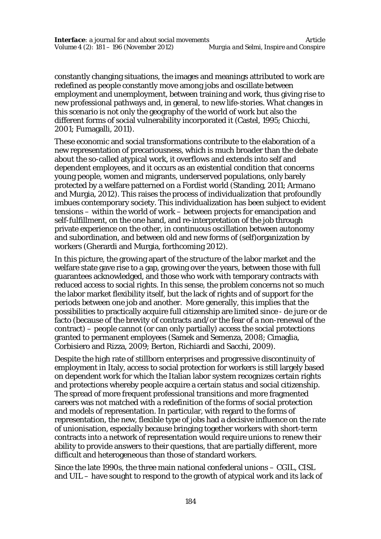constantly changing situations, the images and meanings attributed to work are redefined as people constantly move among jobs and oscillate between employment and unemployment, between training and work, thus giving rise to new professional pathways and, in general, to new life-stories. What changes in this scenario is not only the geography of the world of work but also the different forms of social vulnerability incorporated it (Castel, 1995; Chicchi, 2001; Fumagalli, 2011).

These economic and social transformations contribute to the elaboration of a new representation of precariousness, which is much broader than the debate about the so-called atypical work, it overflows and extends into self and dependent employees, and it occurs as an existential condition that concerns young people, women and migrants, underserved populations, only barely protected by a welfare patterned on a Fordist world (Standing, 2011; Armano and Murgia, 2012). This raises the process of individualization that profoundly imbues contemporary society. This individualization has been subject to evident tensions – within the world of work – between projects for emancipation and self-fulfillment, on the one hand, and re-interpretation of the job through private experience on the other, in continuous oscillation between autonomy and subordination, and between old and new forms of (self)organization by workers (Gherardi and Murgia, forthcoming 2012).

In this picture, the growing apart of the structure of the labor market and the welfare state gave rise to a gap, growing over the years, between those with full guarantees acknowledged, and those who work with temporary contracts with reduced access to social rights. In this sense, the problem concerns not so much the labor market flexibility itself, but the lack of rights and of support for the periods between one job and another. More generally, this implies that the possibilities to practically acquire full citizenship are limited since - de jure or de facto (because of the brevity of contracts and/or the fear of a non-renewal of the contract) – people cannot (or can only partially) access the social protections granted to permanent employees (Samek and Semenza, 2008; Cimaglia, Corbisiero and Rizza, 2009; Berton, Richiardi and Sacchi, 2009).

Despite the high rate of stillborn enterprises and progressive discontinuity of employment in Italy, access to social protection for workers is still largely based on dependent work for which the Italian labor system recognizes certain rights and protections whereby people acquire a certain status and social citizenship. The spread of more frequent professional transitions and more fragmented careers was not matched with a redefinition of the forms of social protection and models of representation. In particular, with regard to the forms of representation, the new, flexible type of jobs had a decisive influence on the rate of unionisation, especially because bringing together workers with short-term contracts into a network of representation would require unions to renew their ability to provide answers to their questions, that are partially different, more difficult and heterogeneous than those of standard workers.

Since the late 1990s, the three main national confederal unions – CGIL, CISL and UIL – have sought to respond to the growth of atypical work and its lack of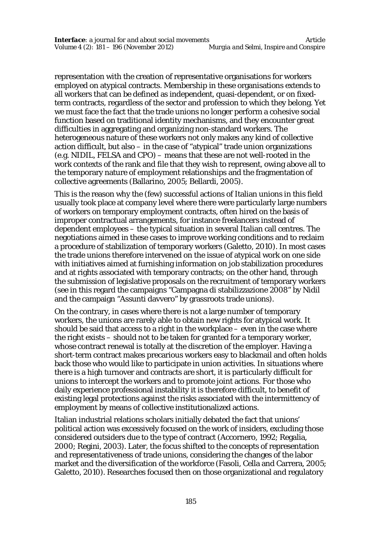representation with the creation of representative organisations for workers employed on atypical contracts. Membership in these organisations extends to all workers that can be defined as independent, quasi-dependent, or on fixedterm contracts, regardless of the sector and profession to which they belong. Yet we must face the fact that the trade unions no longer perform a cohesive social function based on traditional identity mechanisms, and they encounter great difficulties in aggregating and organizing non-standard workers. The heterogeneous nature of these workers not only makes any kind of collective action difficult, but also – in the case of "atypical" trade union organizations (e.g. NIDIL, FELSA and CPO) – means that these are not well-rooted in the work contexts of the rank and file that they wish to represent, owing above all to the temporary nature of employment relationships and the fragmentation of collective agreements (Ballarino, 2005; Bellardi, 2005).

This is the reason why the (few) successful actions of Italian unions in this field usually took place at company level where there were particularly large numbers of workers on temporary employment contracts, often hired on the basis of improper contractual arrangements, for instance freelancers instead of dependent employees – the typical situation in several Italian call centres. The negotiations aimed in these cases to improve working conditions and to reclaim a procedure of stabilization of temporary workers (Galetto, 2010). In most cases the trade unions therefore intervened on the issue of atypical work on one side with initiatives aimed at furnishing information on job stabilization procedures and at rights associated with temporary contracts; on the other hand, through the submission of legislative proposals on the recruitment of temporary workers (see in this regard the campaigns "Campagna di stabilizzazione 2008" by Nidil and the campaign "Assunti davvero" by grassroots trade unions).

On the contrary, in cases where there is not a large number of temporary workers, the unions are rarely able to obtain new rights for atypical work. It should be said that access to a right in the workplace – even in the case where the right exists – should not to be taken for granted for a temporary worker, whose contract renewal is totally at the discretion of the employer. Having a short-term contract makes precarious workers easy to blackmail and often holds back those who would like to participate in union activities. In situations where there is a high turnover and contracts are short, it is particularly difficult for unions to intercept the workers and to promote joint actions. For those who daily experience professional instability it is therefore difficult, to benefit of existing legal protections against the risks associated with the intermittency of employment by means of collective institutionalized actions.

Italian industrial relations scholars initially debated the fact that unions' political action was excessively focused on the work of insiders, excluding those considered outsiders due to the type of contract (Accornero, 1992; Regalia, 2000; Regini, 2003). Later, the focus shifted to the concepts of representation and representativeness of trade unions, considering the changes of the labor market and the diversification of the workforce (Fasoli, Cella and Carrera, 2005; Galetto, 2010). Researches focused then on those organizational and regulatory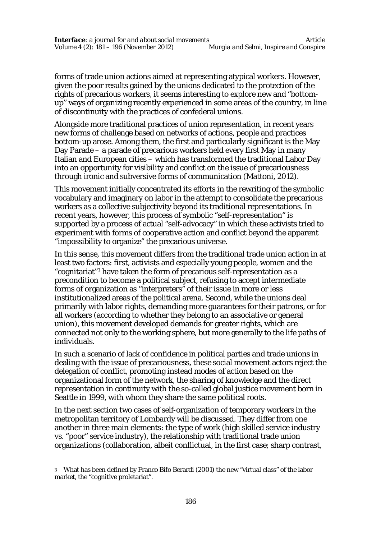forms of trade union actions aimed at representing atypical workers. However, given the poor results gained by the unions dedicated to the protection of the rights of precarious workers, it seems interesting to explore new and "bottomup" ways of organizing recently experienced in some areas of the country, in line of discontinuity with the practices of confederal unions.

Alongside more traditional practices of union representation, in recent years new forms of challenge based on networks of actions, people and practices bottom-up arose. Among them, the first and particularly significant is the May Day Parade – a parade of precarious workers held every first May in many Italian and European cities – which has transformed the traditional Labor Day into an opportunity for visibility and conflict on the issue of precariousness through ironic and subversive forms of communication (Mattoni, 2012).

This movement initially concentrated its efforts in the rewriting of the symbolic vocabulary and imaginary on labor in the attempt to consolidate the precarious workers as a collective subjectivity beyond its traditional representations. In recent years, however, this process of symbolic "self-representation" is supported by a process of actual "self-advocacy" in which these activists tried to experiment with forms of cooperative action and conflict beyond the apparent "impossibility to organize" the precarious universe.

In this sense, this movement differs from the traditional trade union action in at least two factors: first, activists and especially young people, women and the "cognitariat"<sup>3</sup> have taken the form of precarious self-representation as a precondition to become a political subject, refusing to accept intermediate forms of organization as "interpreters" of their issue in more or less institutionalized areas of the political arena. Second, while the unions deal primarily with labor rights, demanding more guarantees for their patrons, or for all workers (according to whether they belong to an associative or general union), this movement developed demands for greater rights, which are connected not only to the working sphere, but more generally to the life paths of individuals.

In such a scenario of lack of confidence in political parties and trade unions in dealing with the issue of precariousness, these social movement actors reject the delegation of conflict, promoting instead modes of action based on the organizational form of the network, the sharing of knowledge and the direct representation in continuity with the so-called global justice movement born in Seattle in 1999, with whom they share the same political roots.

In the next section two cases of self-organization of temporary workers in the metropolitan territory of Lombardy will be discussed. They differ from one another in three main elements: the type of work (high skilled service industry vs. "poor" service industry), the relationship with traditional trade union organizations (collaboration, albeit conflictual, in the first case; sharp contrast,

<sup>3</sup> What has been defined by Franco Bifo Berardi (2001) the new "virtual class" of the labor market, the "cognitive proletariat".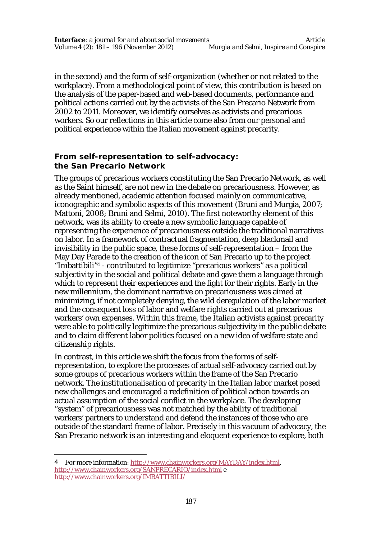in the second) and the form of self-organization (whether or not related to the workplace). From a methodological point of view, this contribution is based on the analysis of the paper-based and web-based documents, performance and political actions carried out by the activists of the San Precario Network from 2002 to 2011. Moreover, we identify ourselves as activists and precarious workers. So our reflections in this article come also from our personal and political experience within the Italian movement against precarity.

# **From self-representation to self-advocacy: the San Precario Network**

The groups of precarious workers constituting the San Precario Network, as well as the Saint himself, are not new in the debate on precariousness. However, as already mentioned, academic attention focused mainly on communicative, iconographic and symbolic aspects of this movement (Bruni and Murgia, 2007; Mattoni, 2008; Bruni and Selmi, 2010). The first noteworthy element of this network, was its ability to create a new symbolic language capable of representing the experience of precariousness outside the traditional narratives on labor. In a framework of contractual fragmentation, deep blackmail and invisibility in the public space, these forms of self-representation – from the May Day Parade to the creation of the icon of San Precario up to the project "Imbattibili"<sup>4</sup> - contributed to legitimize "precarious workers" as a political subjectivity in the social and political debate and gave them a language through which to represent their experiences and the fight for their rights. Early in the new millennium, the dominant narrative on precariousness was aimed at minimizing, if not completely denying, the wild deregulation of the labor market and the consequent loss of labor and welfare rights carried out at precarious workers' own expenses. Within this frame, the Italian activists against precarity were able to politically legitimize the precarious subjectivity in the public debate and to claim different labor politics focused on a new idea of welfare state and citizenship rights.

In contrast, in this article we shift the focus from the forms of selfrepresentation, to explore the processes of actual self-advocacy carried out by some groups of precarious workers within the frame of the San Precario network. The institutionalisation of precarity in the Italian labor market posed new challenges and encouraged a redefinition of political action towards an actual assumption of the social conflict in the workplace. The developing "system" of precariousness was not matched by the ability of traditional workers' partners to understand and defend the instances of those who are outside of the standard frame of labor. Precisely in this *vacuum* of advocacy, the San Precario network is an interesting and eloquent experience to explore, both

<sup>4</sup> For more information: http://www.chainworkers.org/MAYDAY/index.html, http://www.chainworkers.org/SANPRECARIO/index.html e http://www.chainworkers.org/IMBATTIBILI/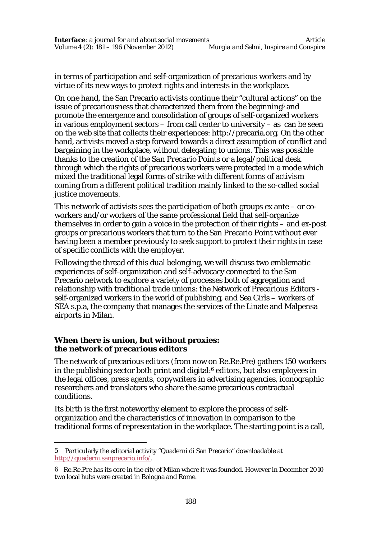in terms of participation and self-organization of precarious workers and by virtue of its new ways to protect rights and interests in the workplace.

On one hand, the San Precario activists continue their "cultural actions" on the issue of precariousness that characterized them from the beginning<sup>5</sup> and promote the emergence and consolidation of groups of self-organized workers in various employment sectors – from call center to university – as can be seen on the web site that collects their experiences: http://precaria.org. On the other hand, activists moved a step forward towards a direct assumption of conflict and bargaining in the workplace, without delegating to unions. This was possible thanks to the creation of the *San Precario Points* or a legal/political desk through which the rights of precarious workers were protected in a mode which mixed the traditional legal forms of strike with different forms of activism coming from a different political tradition mainly linked to the so-called social justice movements.

This network of activists sees the participation of both groups ex ante – or coworkers and/or workers of the same professional field that self-organize themselves in order to gain a voice in the protection of their rights – and ex-post groups or precarious workers that turn to the San Precario Point without ever having been a member previously to seek support to protect their rights in case of specific conflicts with the employer.

Following the thread of this dual belonging, we will discuss two emblematic experiences of self-organization and self-advocacy connected to the San Precario network to explore a variety of processes both of aggregation and relationship with traditional trade unions: the Network of Precarious Editors self-organized workers in the world of publishing, and Sea Girls – workers of SEA s.p.a, the company that manages the services of the Linate and Malpensa airports in Milan.

### **When there is union, but without proxies: the network of precarious editors**

 $\overline{a}$ 

The network of precarious editors (from now on Re.Re.Pre) gathers 150 workers in the publishing sector both print and digital:<sup>6</sup> editors, but also employees in the legal offices, press agents, copywriters in advertising agencies, iconographic researchers and translators who share the same precarious contractual conditions.

Its birth is the first noteworthy element to explore the process of selforganization and the characteristics of innovation in comparison to the traditional forms of representation in the workplace. The starting point is a call,

<sup>5</sup> Particularly the editorial activity "Quaderni di San Precario" downloadable at http://quaderni.sanprecario.info/.

<sup>6</sup> Re.Re.Pre has its core in the city of Milan where it was founded. However in December 2010 two local hubs were created in Bologna and Rome.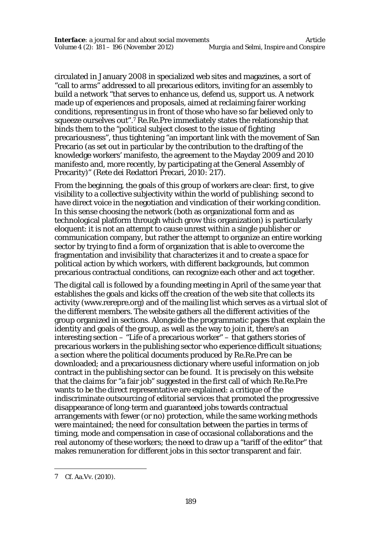circulated in January 2008 in specialized web sites and magazines, a sort of "call to arms" addressed to all precarious editors, inviting for an assembly to build a network "that serves to enhance us, defend us, support us. A network made up of experiences and proposals, aimed at reclaiming fairer working conditions, representing us in front of those who have so far believed only to squeeze ourselves out". <sup>7</sup> Re.Re.Pre immediately states the relationship that binds them to the "political subject closest to the issue of fighting precariousness", thus tightening "an important link with the movement of San Precario (as set out in particular by the contribution to the drafting of the knowledge workers' manifesto, the agreement to the Mayday 2009 and 2010 manifesto and, more recently, by participating at the General Assembly of Precarity)" (Rete dei Redattori Precari, 2010: 217).

From the beginning, the goals of this group of workers are clear: first, to give visibility to a collective subjectivity within the world of publishing; second to have direct voice in the negotiation and vindication of their working condition. In this sense choosing the network (both as organizational form and as technological platform through which grow this organization) is particularly eloquent: it is not an attempt to cause unrest within a single publisher or communication company, but rather the attempt to organize an entire working sector by trying to find a form of organization that is able to overcome the fragmentation and invisibility that characterizes it and to create a space for political action by which workers, with different backgrounds, but common precarious contractual conditions, can recognize each other and act together.

The digital call is followed by a founding meeting in April of the same year that establishes the goals and kicks off the creation of the web site that collects its activity (www.rerepre.org) and of the mailing list which serves as a virtual slot of the different members. The website gathers all the different activities of the group organized in sections. Alongside the programmatic pages that explain the identity and goals of the group, as well as the way to join it, there's an interesting section – "Life of a precarious worker" – that gathers stories of precarious workers in the publishing sector who experience difficult situations; a section where the political documents produced by Re.Re.Pre can be downloaded; and a precariousness dictionary where useful information on job contract in the publishing sector can be found. It is precisely on this website that the claims for "a fair job" suggested in the first call of which Re.Re.Pre wants to be the direct representative are explained: a critique of the indiscriminate outsourcing of editorial services that promoted the progressive disappearance of long-term and guaranteed jobs towards contractual arrangements with fewer (or no) protection, while the same working methods were maintained; the need for consultation between the parties in terms of timing, mode and compensation in case of occasional collaborations and the real autonomy of these workers; the need to draw up a "tariff of the editor" that makes remuneration for different jobs in this sector transparent and fair.

<sup>7</sup> Cf. Aa.Vv. (2010).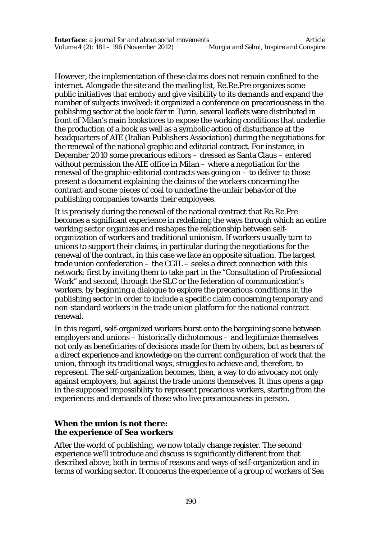However, the implementation of these claims does not remain confined to the internet. Alongside the site and the mailing list, Re.Re.Pre organizes some public initiatives that embody and give visibility to its demands and expand the number of subjects involved: it organized a conference on precariousness in the publishing sector at the book fair in Turin, several leaflets were distributed in front of Milan's main bookstores to expose the working conditions that underlie the production of a book as well as a symbolic action of disturbance at the headquarters of AIE (Italian Publishers Association) during the negotiations for the renewal of the national graphic and editorial contract. For instance, in December 2010 some precarious editors – dressed as Santa Claus – entered without permission the AIE office in Milan – where a negotiation for the renewal of the graphic-editorial contracts was going on – to deliver to those present a document explaining the claims of the workers concerning the contract and some pieces of coal to underline the unfair behavior of the publishing companies towards their employees.

It is precisely during the renewal of the national contract that Re.Re.Pre becomes a significant experience in redefining the ways through which an entire working sector organizes and reshapes the relationship between selforganization of workers and traditional unionism. If workers usually turn to unions to support their claims, in particular during the negotiations for the renewal of the contract, in this case we face an opposite situation. The largest trade union confederation – the CGIL – seeks a direct connection with this network: first by inviting them to take part in the "Consultation of Professional Work" and second, through the SLC or the federation of communication's workers, by beginning a dialogue to explore the precarious conditions in the publishing sector in order to include a specific claim concerning temporary and non-standard workers in the trade union platform for the national contract renewal.

In this regard, self-organized workers burst onto the bargaining scene between employers and unions – historically dichotomous – and legitimize themselves not only as beneficiaries of decisions made for them by others, but as bearers of a direct experience and knowledge on the current configuration of work that the union, through its traditional ways, struggles to achieve and, therefore, to represent. The self-organization becomes, then, a way to do advocacy not only against employers, but against the trade unions themselves. It thus opens a gap in the supposed impossibility to represent precarious workers, starting from the experiences and demands of those who live precariousness in person.

#### **When the union is not there: the experience of Sea workers**

After the world of publishing, we now totally change register. The second experience we'll introduce and discuss is significantly different from that described above, both in terms of reasons and ways of self-organization and in terms of working sector. It concerns the experience of a group of workers of Sea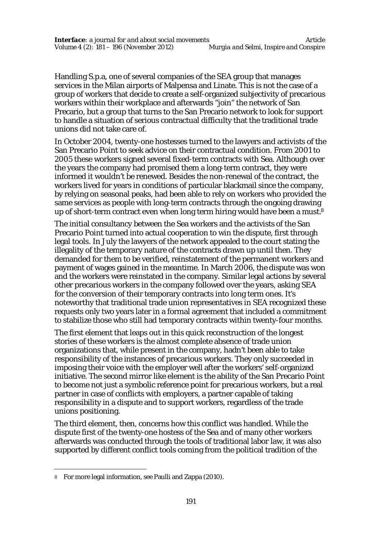Handling S.p.a, one of several companies of the SEA group that manages services in the Milan airports of Malpensa and Linate. This is not the case of a group of workers that decide to create a self-organized subjectivity of precarious workers within their workplace and afterwards "join" the network of San Precario, but a group that turns to the San Precario network to look for support to handle a situation of serious contractual difficulty that the traditional trade unions did not take care of.

In October 2004, twenty-one hostesses turned to the lawyers and activists of the San Precario Point to seek advice on their contractual condition. From 2001 to 2005 these workers signed several fixed-term contracts with Sea. Although over the years the company had promised them a long-term contract, they were informed it wouldn't be renewed. Besides the non-renewal of the contract, the workers lived for years in conditions of particular blackmail since the company, by relying on seasonal peaks, had been able to rely on workers who provided the same services as people with long-term contracts through the ongoing drawing up of short-term contract even when long term hiring would have been a must.<sup>8</sup>

The initial consultancy between the Sea workers and the activists of the San Precario Point turned into actual cooperation to win the dispute, first through legal tools. In July the lawyers of the network appealed to the court stating the illegality of the temporary nature of the contracts drawn up until then. They demanded for them to be verified, reinstatement of the permanent workers and payment of wages gained in the meantime. In March 2006, the dispute was won and the workers were reinstated in the company. Similar legal actions by several other precarious workers in the company followed over the years, asking SEA for the conversion of their temporary contracts into long term ones. It's noteworthy that traditional trade union representatives in SEA recognized these requests only two years later in a formal agreement that included a commitment to stabilize those who still had temporary contracts within twenty-four months.

The first element that leaps out in this quick reconstruction of the longest stories of these workers is the almost complete absence of trade union organizations that, while present in the company, hadn't been able to take responsibility of the instances of precarious workers. They only succeeded in imposing their voice with the employer well after the workers' self-organized initiative. The second mirror like element is the ability of the San Precario Point to become not just a symbolic reference point for precarious workers, but a real partner in case of conflicts with employers, a partner capable of taking responsibility in a dispute and to support workers, regardless of the trade unions positioning.

The third element, then, concerns how this conflict was handled. While the dispute first of the twenty-one hostess of the Sea and of many other workers afterwards was conducted through the tools of traditional labor law, it was also supported by different conflict tools coming from the political tradition of the

<sup>8</sup> For more legal information, see Paulli and Zappa (2010).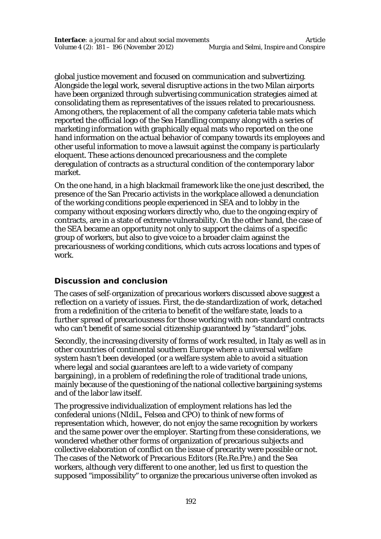global justice movement and focused on communication and subvertizing. Alongside the legal work, several disruptive actions in the two Milan airports have been organized through subvertising communication strategies aimed at consolidating them as representatives of the issues related to precariousness. Among others, the replacement of all the company cafeteria table mats which reported the official logo of the Sea Handling company along with a series of marketing information with graphically equal mats who reported on the one hand information on the actual behavior of company towards its employees and other useful information to move a lawsuit against the company is particularly eloquent. These actions denounced precariousness and the complete deregulation of contracts as a structural condition of the contemporary labor market.

On the one hand, in a high blackmail framework like the one just described, the presence of the San Precario activists in the workplace allowed a denunciation of the working conditions people experienced in SEA and to lobby in the company without exposing workers directly who, due to the ongoing expiry of contracts, are in a state of extreme vulnerability. On the other hand, the case of the SEA became an opportunity not only to support the claims of a specific group of workers, but also to give voice to a broader claim against the precariousness of working conditions, which cuts across locations and types of work.

# **Discussion and conclusion**

The cases of self-organization of precarious workers discussed above suggest a reflection on a variety of issues. First, the de-standardization of work, detached from a redefinition of the criteria to benefit of the welfare state, leads to a further spread of precariousness for those working with non-standard contracts who can't benefit of same social citizenship guaranteed by "standard" jobs.

Secondly, the increasing diversity of forms of work resulted, in Italy as well as in other countries of continental southern Europe where a universal welfare system hasn't been developed (or a welfare system able to avoid a situation where legal and social guarantees are left to a wide variety of company bargaining), in a problem of redefining the role of traditional trade unions, mainly because of the questioning of the national collective bargaining systems and of the labor law itself.

The progressive individualization of employment relations has led the confederal unions (NIdiL, Felsea and CPO) to think of new forms of representation which, however, do not enjoy the same recognition by workers and the same power over the employer. Starting from these considerations, we wondered whether other forms of organization of precarious subjects and collective elaboration of conflict on the issue of precarity were possible or not. The cases of the Network of Precarious Editors (Re.Re.Pre.) and the Sea workers, although very different to one another, led us first to question the supposed "impossibility" to organize the precarious universe often invoked as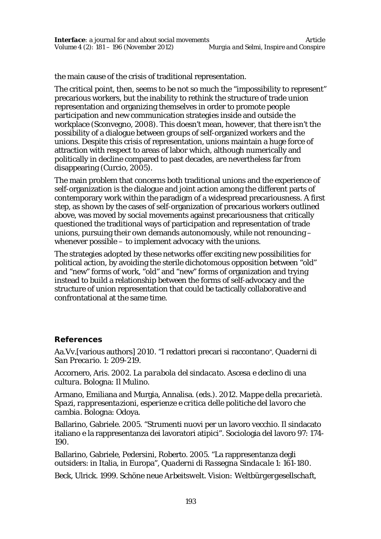the main cause of the crisis of traditional representation.

The critical point, then, seems to be not so much the "impossibility to represent" precarious workers, but the inability to rethink the structure of trade union representation and organizing themselves in order to promote people participation and new communication strategies inside and outside the workplace (Sconvegno, 2008). This doesn't mean, however, that there isn't the possibility of a dialogue between groups of self-organized workers and the unions. Despite this crisis of representation, unions maintain a huge force of attraction with respect to areas of labor which, although numerically and politically in decline compared to past decades, are nevertheless far from disappearing (Curcio, 2005).

The main problem that concerns both traditional unions and the experience of self-organization is the dialogue and joint action among the different parts of contemporary work within the paradigm of a widespread precariousness. A first step, as shown by the cases of self-organization of precarious workers outlined above, was moved by social movements against precariousness that critically questioned the traditional ways of participation and representation of trade unions, pursuing their own demands autonomously, while not renouncing – whenever possible – to implement advocacy with the unions.

The strategies adopted by these networks offer exciting new possibilities for political action, by avoiding the sterile dichotomous opposition between "old" and "new" forms of work, "old" and "new" forms of organization and trying instead to build a relationship between the forms of self-advocacy and the structure of union representation that could be tactically collaborative and confrontational at the same time.

# **References**

Aa.Vv.[various authors] 2010. "I redattori precari si raccontano", *Quaderni di San Precario*. 1: 209-219.

Accornero, Aris. 2002. *La parabola del sindacato. Ascesa e declino di una cultura*. Bologna: Il Mulino.

Armano, Emiliana and Murgia, Annalisa. (eds.). 2012. *Mappe della precarietà. Spazi, rappresentazioni, esperienze e critica delle politiche del lavoro che cambia.* Bologna: Odoya.

Ballarino, Gabriele. 2005. "Strumenti nuovi per un lavoro vecchio. Il sindacato italiano e la rappresentanza dei lavoratori atipici". Sociologia del lavoro 97: 174- 190.

Ballarino, Gabriele, Pedersini, Roberto. 2005. "La rappresentanza degli outsiders: in Italia, in Europa", *Quaderni di Rassegna Sindacale* 1: 161-180.

Beck, Ulrick. 1999. *Schöne neue Arbeitswelt. Vision: Weltbürgergesellschaft*,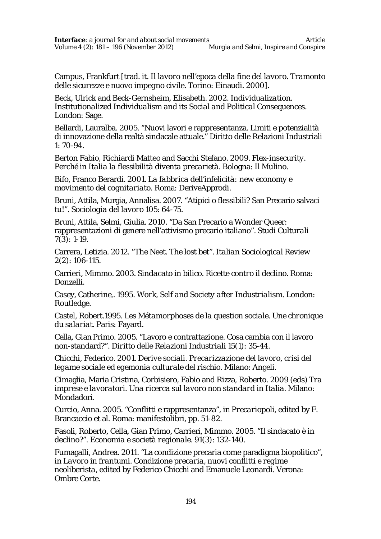Campus, Frankfurt [trad. it. *Il lavoro nell'epoca della fine del lavoro. Tramonto delle sicurezze e nuovo impegno civile.* Torino: Einaudi. 2000].

Beck, Ulrick and Beck-Gernsheim, Elisabeth. 2002. *Individualization. Institutionalized Individualism and its Social and Political Consequences.* London: Sage.

Bellardi, Lauralba. 2005. "Nuovi lavori e rappresentanza. Limiti e potenzialità di innovazione della realtà sindacale attuale." Diritto delle Relazioni Industriali 1: 70-94.

Berton Fabio, Richiardi Matteo and Sacchi Stefano. 2009. *Flex-insecurity. Perché in Italia la flessibilità diventa precarietà*. Bologna: Il Mulino.

Bifo, Franco Berardi. 2001. *La fabbrica dell'infelicità: new economy e movimento del cognitariato*. Roma: DeriveApprodi.

Bruni, Attila, Murgia, Annalisa. 2007. "Atipici o flessibili? San Precario salvaci tu!". *Sociologia del lavoro* 105: 64-75.

Bruni, Attila, Selmi, Giulia. 2010. "Da San Precario a Wonder Queer: rappresentazioni di genere nell'attivismo precario italiano". *Studi Culturali* 7(3): 1-19.

Carrera, Letizia. 2012. "The Neet. The lost bet". *Italian Sociological Review* 2(2): 106-115.

Carrieri, Mimmo. 2003. *Sindacato in bilico. Ricette contro il declino*. Roma: Donzelli.

Casey, Catherine,. 1995. *Work, Self and Society after Industrialism.* London: Routledge.

Castel, Robert.1995. *Les Métamorphoses de la question sociale. Une chronique du salariat.* Paris: Fayard.

Cella, Gian Primo. 2005. "Lavoro e contrattazione. Cosa cambia con il lavoro non-standard?". *Diritto delle Relazioni Industriali* 15(1): 35-44.

Chicchi, Federico. 2001. *Derive sociali. Precarizzazione del lavoro, crisi del legame sociale ed egemonia culturale del rischio.* Milano: Angeli.

Cimaglia, Maria Cristina, Corbisiero, Fabio and Rizza, Roberto. 2009 (eds) *Tra imprese e lavoratori. Una ricerca sul lavoro non standard in Italia*. Milano: Mondadori.

Curcio, Anna. 2005. "Conflitti e rappresentanza", in *Precariopoli*, edited by F. Brancaccio et al. Roma: manifestolibri, pp. 51-82.

Fasoli, Roberto, Cella, Gian Primo, Carrieri, Mimmo. 2005. "Il sindacato è in declino?". *Economia e società regionale*. 91(3): 132-140.

Fumagalli, Andrea. 2011. "La condizione precaria come paradigma biopolitico", in *Lavoro in frantumi. Condizione precaria, nuovi conflitti e regime neoliberista*, edited by Federico Chicchi and Emanuele Leonardi. Verona: Ombre Corte.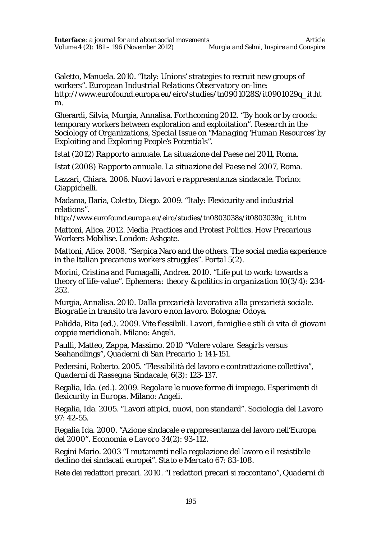Galetto, Manuela. 2010. "Italy: Unions' strategies to recruit new groups of workers". *European Industrial Relations Observatory on-line:* http://www.eurofound.europa.eu/eiro/studies/tn0901028S/it0901029q\_it.ht m.

Gherardi, Silvia, Murgia, Annalisa. Forthcoming 2012. "By hook or by croock: temporary workers between exploration and exploitation". *Research in the Sociology of Organizations, Special Issue on "Managing 'Human Resources' by Exploiting and Exploring People's Potentials".*

Istat (2012) *Rapporto annuale. La situazione del Paese nel 2011*, Roma.

Istat (2008) *Rapporto annuale. La situazione del Paese nel 2007*, Roma.

Lazzari, Chiara. 2006. *Nuovi lavori e rappresentanza sindacale*. Torino: Giappichelli.

Madama, Ilaria, Coletto, Diego. 2009. "Italy: Flexicurity and industrial relations".

http://www.eurofound.europa.eu/eiro/studies/tn0803038s/it0803039q\_it.htm

Mattoni, Alice. 2012. *Media Practices and Protest Politics. How Precarious Workers Mobilise.* London: Ashgate.

Mattoni, Alice. 2008. "Serpica Naro and the others. The social media experience in the Italian precarious workers struggles". *Portal* 5(2).

Morini, Cristina and Fumagalli, Andrea. 2010. "Life put to work: towards a theory of life-value". *Ephemera: theory & politics in organization* 10(3/4): 234- 252.

Murgia, Annalisa. 2010. *Dalla precarietà lavorativa alla precarietà sociale. Biografie in transito tra lavoro e non lavoro*. Bologna: Odoya.

Palidda, Rita (ed.). 2009. *Vite flessibili. Lavori, famiglie e stili di vita di giovani coppie meridionali*. Milano: Angeli.

Paulli, Matteo, Zappa, Massimo. 2010 "Volere volare. Seagirls versus Seahandlings", *Quaderni di San Precario* 1: 141-151.

Pedersini, Roberto. 2005. "Flessibilità del lavoro e contrattazione collettiva", *Quaderni di Rassegna Sindacale*, 6(3): 123-137.

Regalia, Ida. (ed.). 2009. *Regolare le nuove forme di impiego. Esperimenti di flexicurity in Europa*. Milano: Angeli.

Regalia, Ida. 2005. "Lavori atipici, nuovi, non standard". *Sociologia del Lavoro* 97: 42-55.

Regalia Ida. 2000. "Azione sindacale e rappresentanza del lavoro nell'Europa del 2000". *Economia e Lavoro* 34(2): 93-112.

Regini Mario. 2003 "I mutamenti nella regolazione del lavoro e il resistibile declino dei sindacati europei". *Stato e Mercato* 67: 83-108.

Rete dei redattori precari. 2010. "I redattori precari si raccontano", *Quaderni di*